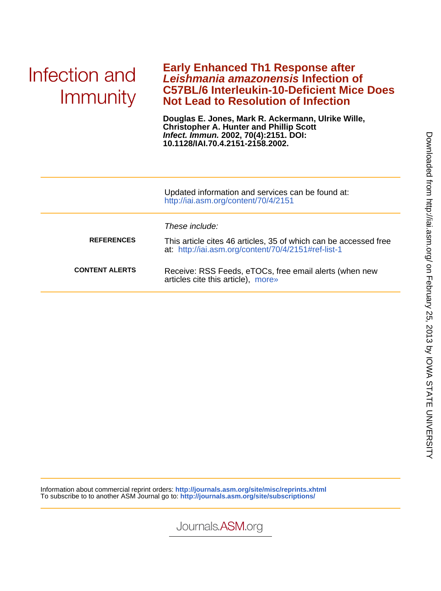# Infection and Immunity

## **Not Lead to Resolution of Infection C57BL/6 Interleukin-10-Deficient Mice Does Leishmania amazonensis Infection of Early Enhanced Th1 Response after**

**10.1128/IAI.70.4.2151-2158.2002. Infect. Immun. 2002, 70(4):2151. DOI: Christopher A. Hunter and Phillip Scott Douglas E. Jones, Mark R. Ackermann, Ulrike Wille,**

|                       | Updated information and services can be found at:<br>http://iai.asm.org/content/70/4/2151                                                 |
|-----------------------|-------------------------------------------------------------------------------------------------------------------------------------------|
| <b>REFERENCES</b>     | These include:<br>This article cites 46 articles, 35 of which can be accessed free<br>at: http://iai.asm.org/content/70/4/2151#ref-list-1 |
| <b>CONTENT ALERTS</b> | Receive: RSS Feeds, eTOCs, free email alerts (when new<br>articles cite this article), more»                                              |

Information about commercial reprint orders: **http://journals.asm.org/site/misc/reprints.xhtml** To subscribe to to another ASM Journal go to: **http://journals.asm.org/site/subscriptions/**

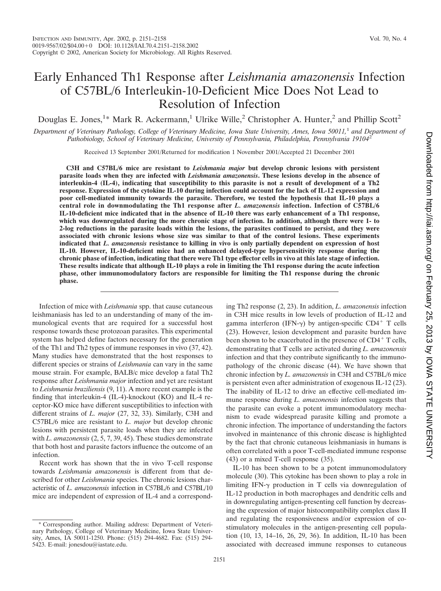## Early Enhanced Th1 Response after *Leishmania amazonensis* Infection of C57BL/6 Interleukin-10-Deficient Mice Does Not Lead to Resolution of Infection

Douglas E. Jones,<sup>1\*</sup> Mark R. Ackermann,<sup>1</sup> Ulrike Wille,<sup>2</sup> Christopher A. Hunter,<sup>2</sup> and Phillip Scott<sup>2</sup>

*Department of Veterinary Pathology, College of Veterinary Medicine, Iowa State University, Ames, Iowa 50011,*<sup>1</sup> *and Department of Pathobiology, School of Veterinary Medicine, University of Pennsylvania, Philadelphia, Pennsylvania 19104*<sup>2</sup>

Received 13 September 2001/Returned for modification 1 November 2001/Accepted 21 December 2001

**C3H and C57BL/6 mice are resistant to** *Leishmania major* **but develop chronic lesions with persistent parasite loads when they are infected with** *Leishmania amazonensis***. These lesions develop in the absence of interleukin-4 (IL-4), indicating that susceptibility to this parasite is not a result of development of a Th2 response. Expression of the cytokine IL-10 during infection could account for the lack of IL-12 expression and poor cell-mediated immunity towards the parasite. Therefore, we tested the hypothesis that IL-10 plays a central role in downmodulating the Th1 response after** *L. amazonensis* **infection. Infection of C57BL/6 IL-10-deficient mice indicated that in the absence of IL-10 there was early enhancement of a Th1 response, which was downregulated during the more chronic stage of infection. In addition, although there were 1- to 2-log reductions in the parasite loads within the lesions, the parasites continued to persist, and they were associated with chronic lesions whose size was similar to that of the control lesions. These experiments indicated that** *L. amazonensis* **resistance to killing in vivo is only partially dependent on expression of host IL-10. However, IL-10-deficient mice had an enhanced delayed-type hypersensitivity response during the chronic phase of infection, indicating that there were Th1 type effector cells in vivo at this late stage of infection. These results indicate that although IL-10 plays a role in limiting the Th1 response during the acute infection phase, other immunomodulatory factors are responsible for limiting the Th1 response during the chronic phase.**

Infection of mice with *Leishmania* spp. that cause cutaneous leishmaniasis has led to an understanding of many of the immunological events that are required for a successful host response towards these protozoan parasites. This experimental system has helped define factors necessary for the generation of the Th1 and Th2 types of immune responses in vivo (37, 42). Many studies have demonstrated that the host responses to different species or strains of *Leishmania* can vary in the same mouse strain. For example, BALB/c mice develop a fatal Th2 response after *Leishmania major* infection and yet are resistant to *Leishmania braziliensis* (9, 11). A more recent example is the finding that interleukin-4 (IL-4)-knockout (KO) and IL-4 receptor-KO mice have different susceptibilities to infection with different strains of *L. major* (27, 32, 33). Similarly, C3H and C57BL/6 mice are resistant to *L. major* but develop chronic lesions with persistent parasite loads when they are infected with *L. amazonensis* (2, 5, 7, 39, 45). These studies demonstrate that both host and parasite factors influence the outcome of an infection.

Recent work has shown that the in vivo T-cell response towards *Leishmania amazonensis* is different from that described for other *Leishmania* species. The chronic lesions characteristic of *L. amazonensis* infection in C57BL/6 and C57BL/10 mice are independent of expression of IL-4 and a corresponding Th2 response (2, 23). In addition, *L. amazonensis* infection in C3H mice results in low levels of production of IL-12 and gamma interferon (IFN- $\gamma$ ) by antigen-specific CD4<sup>+</sup> T cells (23). However, lesion development and parasite burden have been shown to be exacerbated in the presence of  $CD4^+$  T cells, demonstrating that T cells are activated during *L. amazonensis* infection and that they contribute significantly to the immunopathology of the chronic disease (44). We have shown that chronic infection by *L. amazonensis* in C3H and C57BL/6 mice is persistent even after administration of exogenous IL-12 (23). The inability of IL-12 to drive an effective cell-mediated immune response during *L. amazonensis* infection suggests that the parasite can evoke a potent immunomodulatory mechanism to evade widespread parasite killing and promote a chronic infection. The importance of understanding the factors involved in maintenance of this chronic disease is highlighted by the fact that chronic cutaneous leishmaniasis in humans is often correlated with a poor T-cell-mediated immune response (43) or a mixed T-cell response (35).

IL-10 has been shown to be a potent immunomodulatory molecule (30). This cytokine has been shown to play a role in limiting IFN- $\gamma$  production in T cells via downregulation of IL-12 production in both macrophages and dendritic cells and in downregulating antigen-presenting cell function by decreasing the expression of major histocompatibility complex class II and regulating the responsiveness and/or expression of costimulatory molecules in the antigen-presenting cell population (10, 13, 14–16, 26, 29, 36). In addition, IL-10 has been associated with decreased immune responses to cutaneous

<sup>\*</sup> Corresponding author. Mailing address: Department of Veterinary Pathology, College of Veterinary Medicine, Iowa State University, Ames, IA 50011-1250. Phone: (515) 294-4682. Fax: (515) 294- 5423. E-mail: jonesdou@iastate.edu.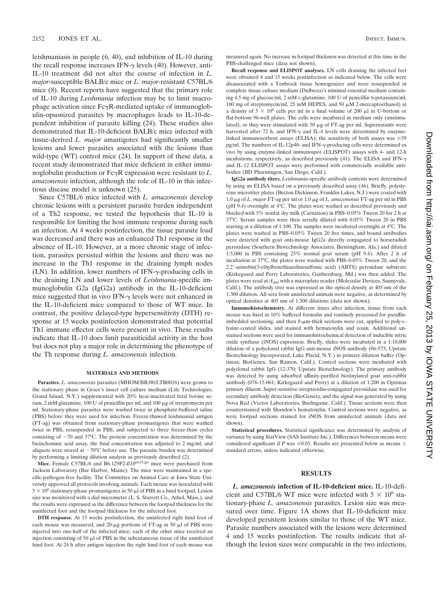leishmaniasis in people (6, 40), and inhibition of IL-10 during the recall response increases IFN- $\gamma$  levels (40). However, anti-IL-10 treatment did not alter the course of infection in *L. major*-susceptible BALB/c mice or *L. major*-resistant C57BL/6 mice (8). Recent reports have suggested that the primary role of IL-10 during *Leishmania* infection may be to limit macrophage activation since  $Fc\gamma R$ -mediated uptake of immunoglobulin-opsonized parasites by macrophages leads to IL-10-dependent inhibition of parasite killing (24). These studies also demonstrated that IL-10-deficient BALB/c mice infected with tissue-derived *L. major* amastigotes had significantly smaller lesions and fewer parasites associated with the lesions than wild-type (WT) control mice (24). In support of these data, a recent study demonstrated that mice deficient in either immunoglobulin production or Fc $\gamma$ R expression were resistant to *L*. *amazonensis* infection, although the role of IL-10 in this infectious disease model is unknown (25).

Since C57BL/6 mice infected with *L. amazonensis* develop chronic lesions with a persistent parasite burden independent of a Th2 response, we tested the hypothesis that IL-10 is responsible for limiting the host immune response during such an infection. At 4 weeks postinfection, the tissue parasite load was decreased and there was an enhanced Th1 response in the absence of IL-10. However, at a more chronic stage of infection, parasites persisted within the lesions and there was no increase in the Th1 response in the draining lymph nodes  $(LN)$ . In addition, lower numbers of IFN- $\gamma$ -producing cells in the draining LN and lower levels of *Leishmania*-specific immunoglobulin G2a (IgG2a) antibody in the IL-10-deficient mice suggested that in vivo IFN- $\gamma$  levels were not enhanced in the IL-10-deficient mice compared to those of WT mice. In contrast, the positive delayed-type hypersensitivity (DTH) response at 15 weeks postinfection demonstrated that potential Th1 immune effector cells were present in vivo. These results indicate that IL-10 does limit parasiticidal activity in the host but does not play a major role in determining the phenotype of the Th response during *L. amazonensis* infection.

#### **MATERIALS AND METHODS**

**Parasites.** *L. amazonensis* parasites (MHOM/BR/00/LTB0016) were grown to the stationary phase in Grace's insect cell culture medium (Life Technologies, Grand Island, N.Y.) supplemented with 20% heat-inactivated fetal bovine serum,  $2 \text{ mM}$  glutamine,  $100 \text{ U}$  of penicillin per ml, and  $100 \mu$ g of streptomycin per ml. Stationary-phase parasites were washed twice in phosphate-buffered saline (PBS) before they were used for infection. Freeze-thawed leishmanial antigen (FT-ag) was obtained from stationary-phase promastigotes that were washed twice in PBS, resuspended in PBS, and subjected to three freeze-thaw cycles consisting of  $-70$  and  $37^{\circ}$ C. The protein concentration was determined by the bicinchoninic acid assay, the final concentration was adjusted to 2 mg/ml, and aliquots were stored at  $-70^{\circ}$ C before use. The parasite burden was determined by performing a limiting dilution analysis as previously described (2).

**Mice.** Female C57BL/6 and B6.129P2-*Il10tm1Cgn* mice were purchased from Jackson Laboratory (Bar Harbor, Maine). The mice were maintained in a specific-pathogen-free facility. The Committee on Animal Care at Iowa State University approved all protocols involving animals. Each mouse was inoculated with  $5 \times 10^6$  stationary-phase promastigotes in 50  $\mu$ l of PBS in a hind footpad. Lesion size was monitored with a dial micrometer (L. S. Starrett Co., Athol, Mass.), and the results were expressed as the difference between the footpad thickness for the uninfected foot and the footpad thickness for the infected foot.

**DTH response.** At 15 weeks postinfection, the uninfected right hind foot of each mouse was measured, and  $20$ - $\mu$ g portions of FT-ag in 50  $\mu$ l of PBS were injected into one-half of the infected mice; each of the other mice received an injection consisting of 50  $\mu$ l of PBS in the subcutaneous tissue of the uninfected hind foot. At 24 h after antigen injection the right hind foot of each mouse was

measured again. No increase in footpad thickness was detected at this time in the PBS-challenged mice (data not shown).

**Recall response and ELISPOT analyses.** LN cells draining the infected feet were obtained 4 and 15 weeks postinfection as indicated below. The cells were disassociated with a Tenbrock tissue homogenizer and were resuspended in complete tissue culture medium (Dulbecco's minimal essential medium containing 4.5 mg of glucose/ml, 2 mM L-glutamine, 100 U of penicillin 6-potassium/ml, 100 mg of streptomycin/ml, 25 mM HEPES, and 50  $\mu$ M 2-mercaptoethanol) at a density of  $5 \times 10^6$  cells per ml in a final volume of 200  $\mu$ l in U-bottom or flat-bottom 96-well plates. The cells were incubated in medium only (unstimulated), or they were stimulated with 50  $\mu$ g of FT-ag per ml. Supernatants were harvested after 72 h, and IFN- $\gamma$  and IL-4 levels were determined by enzymelinked immunosorbent assays (ELISA); the sensitivity of both assays was  $\geq 39$ pg/ml. The numbers of IL-12p40- and IFN- $\gamma$ -producing cells were determined ex vivo by using enzyme-linked immunospot (ELISPOT) assays with 4- and 12-h incubations, respectively, as described previously (41). The ELISA and IFN- $\gamma$ and IL-12 ELISPOT assays were performed with commercially available antibodies (BD Pharmingen, San Diego, Calif.).

**IgG2a antibody titers.** *Leishmania*-specific antibody contents were determined by using an ELISA based on a previously described assay (46). Briefly, polystyrene microtiter plates (Becton Dickinson, Franklin Lakes, N.J.) were coated with 1.0 g of *L. major* FT-ag per ml or 1.0 g of *L. amazonensis* FT-ag per ml in PBS (pH 9.4) overnight at 4°C. The plates were washed as described previously and blocked with 5% nonfat dry milk (Carnation) in PBS–0.05% Tween 20 for 2 h at 37°C. Serum samples were then serially diluted with 0.05% Tween 20 in PBS starting at a dilution of 1:100. The samples were incubated overnight at 4°C. The plates were washed in PBS–0.05% Tween 20 five times, and bound antibodies were detected with goat anti-mouse IgG2a directly conjugated to horseradish peroxidase (Southern Biotechnology Associates, Birmingham, Ala.) and diluted 1:5,000 in PBS containing 25% normal goat serum (pH 9.4). After 2 h of incubation at 37°C, the plates were washed with PBS–0.05% Tween 20, and the 2,2-azinobis(3-ethylbenzthiazolinesulfonic acid) (ABTS) peroxidase substrate (Kirkegaard and Perry Laboratories, Gaithersburg, Md.) was then added. The plates were read at *A*<sup>405</sup> with a microplate reader (Molecular Devices, Sunnyvale, Calif.). The antibody titer was expressed as the optical density at 405 nm of the 1:300 dilution. All sera from uninfected animals were negative, as determined by optical densities at 405 nm of 1:300 dilutions (data not shown).

**Immunohistochemistry.** At different times after infection, tissue from each mouse was fixed in 10% buffered formalin and routinely processed for paraffinimbedded sectioning, and then  $8\text{-}\mu\text{m}$ -thick sections were cut, applied to poly-Llysine-coated slides, and stained with hematoxylin and eosin. Additional unstained sections were used for immunohistochemical detection of inducible nitric oxide synthase (iNOS) expression. Briefly, slides were incubated in a 1:10,000 dilution of a polyclonal rabbit IgG anti-mouse iNOS antibody (06-573; Upstate Biotechnology Incorporated, Lake Placid, N.Y.) in primary dilution buffer (Optimax; BioGenex, San Ramon, Calif.). Control sections were incubated with polyclonal rabbit IgG (12-370; Upstate Biotechnology). The primary antibody was detected by using adsorbed affinity-purified biotinylated goat anti-rabbit antibody (076-15-061; Kirkegaard and Perry) at a dilution of 1:200 in Optimax primary diluent. Super-sensitive-streptavidin-conjugated peroxidase was used for secondary antibody detection (BioGenex), and the signal was generated by using Nova Red (Vector Laboratories, Burlingame, Calif.). Tissue sections were then counterstained with Shandon's hematoxylin. Control sections were negative, as were footpad sections stained for iNOS from uninfected animals (data not shown).

**Statistical procedures.** Statistical significance was determined by analysis of variance by using StatView (SAS Institute Inc.). Differences between means were considered significant if *P* was  $\leq 0.05$ . Results are presented below as means  $\pm$ standard errors, unless indicated otherwise.

#### **RESULTS**

*L. amazonensis* **infection of IL-10-deficient mice.** IL-10-deficient and C57BL/6 WT mice were infected with  $5 \times 10^6$  stationary-phase *L. amazonensis* parasites. Lesion size was measured over time. Figure 1A shows that IL-10-deficient mice developed persistent lesions similar to those of the WT mice. Parasite numbers associated with the lesions were determined 4 and 15 weeks postinfection. The results indicate that although the lesion sizes were comparable in the two infections,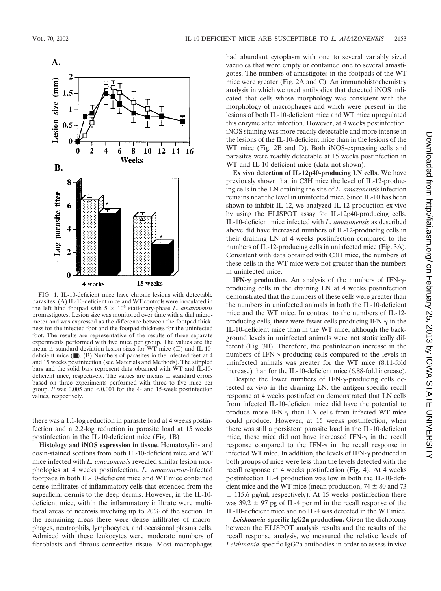

FIG. 1. IL-10-deficient mice have chronic lesions with detectable parasites. (A) IL-10-deficient mice and WT controls were inoculated in the left hind footpad with  $5 \times 10^6$  stationary-phase *L. amazonensis* promastigotes. Lesion size was monitored over time with a dial micrometer and was expressed as the difference between the footpad thickness for the infected foot and the footpad thickness for the uninfected foot. The results are representative of the results of three separate experiments performed with five mice per group. The values are the mean  $\pm$  standard deviation lesion sizes for WT mice ( $\square$ ) and IL-10deficient mice (■). (B) Numbers of parasites in the infected feet at 4 and 15 weeks postinfection (see Materials and Methods). The stippled bars and the solid bars represent data obtained with WT and IL-10 deficient mice, respectively. The values are means  $\pm$  standard errors based on three experiments performed with three to five mice per group.  $P$  was  $0.005$  and  $\leq 0.001$  for the 4- and 15-week postinfection values, respectively.

there was a 1.1-log reduction in parasite load at 4 weeks postinfection and a 2.2-log reduction in parasite load at 15 weeks postinfection in the IL-10-deficient mice (Fig. 1B).

**Histology and iNOS expression in tissue.** Hematoxylin- and eosin-stained sections from both IL-10-deficient mice and WT mice infected with *L. amazonensis* revealed similar lesion morphologies at 4 weeks postinfection**.** *L. amazonensis*-infected footpads in both IL-10-deficient mice and WT mice contained dense infiltrates of inflammatory cells that extended from the superficial dermis to the deep dermis. However, in the IL-10 deficient mice, within the inflammatory infiltrate were multifocal areas of necrosis involving up to 20% of the section. In the remaining areas there were dense infiltrates of macrophages, neutrophils, lymphocytes, and occasional plasma cells. Admixed with these leukocytes were moderate numbers of fibroblasts and fibrous connective tissue. Most macrophages had abundant cytoplasm with one to several variably sized vacuoles that were empty or contained one to several amastigotes. The numbers of amastigotes in the footpads of the WT mice were greater (Fig. 2A and C). An immunohistochemistry analysis in which we used antibodies that detected iNOS indicated that cells whose morphology was consistent with the morphology of macrophages and which were present in the lesions of both IL-10-deficient mice and WT mice upregulated this enzyme after infection. However, at 4 weeks postinfection, iNOS staining was more readily detectable and more intense in the lesions of the IL-10-deficient mice than in the lesions of the WT mice (Fig. 2B and D). Both iNOS-expressing cells and parasites were readily detectable at 15 weeks postinfection in WT and IL-10-deficient mice (data not shown).

**Ex vivo detection of IL-12p40-producing LN cells.** We have previously shown that in C3H mice the level of IL-12-producing cells in the LN draining the site of *L. amazonensis* infection remains near the level in uninfected mice. Since IL-10 has been shown to inhibit IL-12, we analyzed IL-12 production ex vivo by using the ELISPOT assay for IL-12p40-producing cells. IL-10-deficient mice infected with *L. amazonensis* as described above did have increased numbers of IL-12-producing cells in their draining LN at 4 weeks postinfection compared to the numbers of IL-12-producing cells in uninfected mice (Fig. 3A). Consistent with data obtained with C3H mice, the numbers of these cells in the WT mice were not greater than the numbers in uninfected mice.

IFN- $\gamma$  production. An analysis of the numbers of IFN- $\gamma$ producing cells in the draining LN at 4 weeks postinfection demonstrated that the numbers of these cells were greater than the numbers in uninfected animals in both the IL-10-deficient mice and the WT mice. In contrast to the numbers of IL-12 producing cells, there were fewer cells producing  $IFN-\gamma$  in the IL-10-deficient mice than in the WT mice, although the background levels in uninfected animals were not statistically different (Fig. 3B). Therefore, the postinfection increase in the numbers of IFN- $\gamma$ -producing cells compared to the levels in uninfected animals was greater for the WT mice (8.11-fold increase) than for the IL-10-deficient mice (6.88-fold increase).

Despite the lower numbers of IFN- $\gamma$ -producing cells detected ex vivo in the draining LN, the antigen-specific recall response at 4 weeks postinfection demonstrated that LN cells from infected IL-10-deficient mice did have the potential to produce more IFN- $\gamma$  than LN cells from infected WT mice could produce. However, at 15 weeks postinfection, when there was still a persistent parasite load in the IL-10-deficient mice, these mice did not have increased IFN- $\gamma$  in the recall response compared to the IFN- $\gamma$  in the recall response in infected WT mice. In addition, the levels of IFN- $\gamma$  produced in both groups of mice were less than the levels detected with the recall response at 4 weeks postinfection (Fig. 4). At 4 weeks postinfection IL-4 production was low in both the IL-10-deficient mice and the WT mice (mean production,  $74 \pm 80$  and 73  $\pm$  115.6 pg/ml, respectively). At 15 weeks postinfection there was  $39.2 \pm 97$  pg of IL-4 per ml in the recall response of the IL-10-deficient mice and no IL-4 was detected in the WT mice.

*Leishmania***-specific IgG2a production.** Given the dichotomy between the ELISPOT analysis results and the results of the recall response analysis, we measured the relative levels of *Leishmania*-specific IgG2a antibodies in order to assess in vivo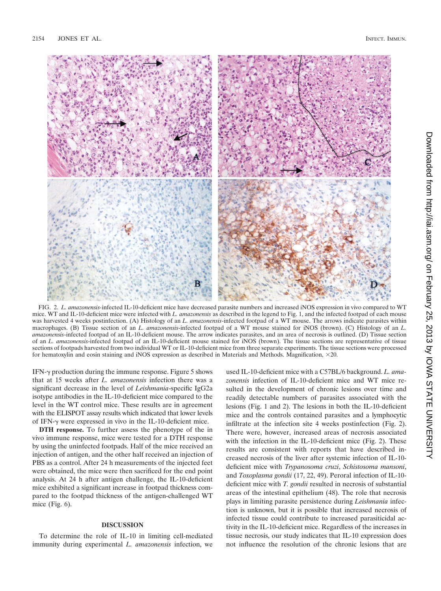

FIG. 2. *L. amazonensis-*infected IL-10-deficient mice have decreased parasite numbers and increased iNOS expression in vivo compared to WT mice. WT and IL-10-deficient mice were infected with *L. amazonensis* as described in the legend to Fig. 1, and the infected footpad of each mouse was harvested 4 weeks postinfection. (A) Histology of an *L. amazonensis*-infected footpad of a WT mouse. The arrows indicate parasites within macrophages. (B) Tissue section of an *L. amazonensis*-infected footpad of a WT mouse stained for iNOS (brown). (C) Histology of an *L. amazonensis*-infected footpad of an IL-10-deficient mouse. The arrow indicates parasites, and an area of necrosis is outlined. (D) Tissue section of an *L. amazonensis*-infected footpad of an IL-10-deficient mouse stained for iNOS (brown). The tissue sections are representative of tissue sections of footpads harvested from two individual WT or IL-10-deficient mice from three separate experiments. The tissue sections were processed for hematoxylin and eosin staining and iNOS expression as described in Materials and Methods. Magnification, ×20.

IFN- $\gamma$  production during the immune response. Figure 5 shows that at 15 weeks after *L. amazonensis* infection there was a significant decrease in the level of *Leishmania*-specific IgG2a isotype antibodies in the IL-10-deficient mice compared to the level in the WT control mice. These results are in agreement with the ELISPOT assay results which indicated that lower levels of IFN- $\gamma$  were expressed in vivo in the IL-10-deficient mice.

**DTH response.** To further assess the phenotype of the in vivo immune response, mice were tested for a DTH response by using the uninfected footpads. Half of the mice received an injection of antigen, and the other half received an injection of PBS as a control. After 24 h measurements of the injected feet were obtained, the mice were then sacrificed for the end point analysis. At 24 h after antigen challenge, the IL-10-deficient mice exhibited a significant increase in footpad thickness compared to the footpad thickness of the antigen-challenged WT mice (Fig. 6).

### **DISCUSSION**

To determine the role of IL-10 in limiting cell-mediated immunity during experimental *L. amazonensis* infection, we

used IL-10-deficient mice with a C57BL/6 background. *L. amazonensis* infection of IL-10-deficient mice and WT mice resulted in the development of chronic lesions over time and readily detectable numbers of parasites associated with the lesions (Fig. 1 and 2). The lesions in both the IL-10-deficient mice and the controls contained parasites and a lymphocytic infiltrate at the infection site 4 weeks postinfection (Fig. 2). There were, however, increased areas of necrosis associated with the infection in the IL-10-deficient mice (Fig. 2). These results are consistent with reports that have described increased necrosis of the liver after systemic infection of IL-10 deficient mice with *Trypanosoma cruzi*, *Schistosoma mansoni*, and *Toxoplasma gondii* (17, 22, 49). Peroral infection of IL-10 deficient mice with *T. gondii* resulted in necrosis of substantial areas of the intestinal epithelium (48). The role that necrosis plays in limiting parasite persistence during *Leishmania* infection is unknown, but it is possible that increased necrosis of infected tissue could contribute to increased parasiticidal activity in the IL-10-deficient mice. Regardless of the increases in tissue necrosis, our study indicates that IL-10 expression does not influence the resolution of the chronic lesions that are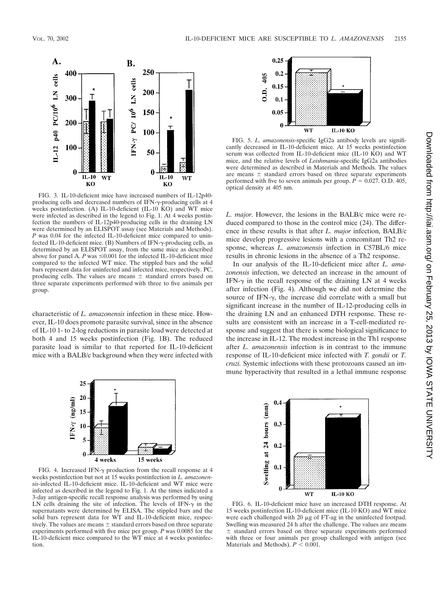

FIG. 3. IL-10-deficient mice have increased numbers of IL-12p40 producing cells and decreased numbers of IFN- $\gamma$ -producing cells at 4 weeks postinfection. (A) IL-10-deficient (IL-10 KO) and WT mice were infected as described in the legend to Fig. 1. At 4 weeks postinfection the numbers of IL-12p40-producing cells in the draining LN were determined by an ELISPOT assay (see Materials and Methods). *P* was 0.04 for the infected IL-10-deficient mice compared to uninfected IL-10-deficient mice. (Β) Numbers of IFN-γ-producing cells, as determined by an ELISPOT assay, from the same mice as described above for panel A.  $P$  was  $\leq 0.001$  for the infected IL-10-deficient mice compared to the infected WT mice. The stippled bars and the solid bars represent data for uninfected and infected mice, respectively. PC, producing cells. The values are means  $\pm$  standard errors based on three separate experiments performed with three to five animals per group.

characteristic of *L. amazonensis* infection in these mice. However, IL-10 does promote parasite survival, since in the absence of IL-10 1- to 2-log reductions in parasite load were detected at both 4 and 15 weeks postinfection (Fig. 1B). The reduced parasite load is similar to that reported for IL-10-deficient mice with a BALB/c background when they were infected with



FIG. 4. Increased IFN- $\gamma$  production from the recall response at 4 weeks postinfection but not at 15 weeks postinfection in *L. amazonensis-*infected IL-10-deficient mice. IL-10-deficient and WT mice were infected as described in the legend to Fig. 1. At the times indicated a 3-day antigen-specific recall response analysis was performed by using LN cells draining the site of infection. The levels of IFN- $\gamma$  in the supernatants were determined by ELISA. The stippled bars and the solid bars represent data for WT and IL-10-deficient mice, respectively. The values are means  $\pm$  standard errors based on three separate experiments performed with five mice per group. *P* was 0.0085 for the IL-10-deficient mice compared to the WT mice at 4 weeks postinfection.



FIG. 5. *L. amazonensis*-specific IgG2a antibody levels are significantly decreased in IL-10-deficient mice. At 15 weeks postinfection serum was collected from IL-10-deficient mice (IL-10 KO) and WT mice, and the relative levels of *Leishmania*-specific IgG2a antibodies were determined as described in Materials and Methods. The values are means  $\pm$  standard errors based on three separate experiments performed with five to seven animals per group.  $\vec{P} = 0.027$ . O.D. 405, optical density at 405 nm.

*L. major*. However, the lesions in the BALB/c mice were reduced compared to those in the control mice (24). The difference in these results is that after *L. major* infection, BALB/c mice develop progressive lesions with a concomitant Th2 response, whereas *L. amazonensis* infection in C57BL/6 mice results in chronic lesions in the absence of a Th2 response.

In our analysis of the IL-10-deficient mice after *L. amazonensis* infection, we detected an increase in the amount of IFN- $\gamma$  in the recall response of the draining LN at 4 weeks after infection (Fig. 4). Although we did not determine the source of IFN- $\gamma$ , the increase did correlate with a small but significant increase in the number of IL-12-producing cells in the draining LN and an enhanced DTH response. These results are consistent with an increase in a T-cell-mediated response and suggest that there is some biological significance to the increase in IL-12. The modest increase in the Th1 response after *L. amazonensis* infection is in contrast to the immune response of IL-10-deficient mice infected with *T. gondii* or *T. cruzi.* Systemic infections with these protozoans caused an immune hyperactivity that resulted in a lethal immune response



FIG. 6. IL-10-deficient mice have an increased DTH response. At 15 weeks postinfection IL-10-deficient mice (IL-10 KO) and WT mice were each challenged with  $20 \mu g$  of FT-ag in the uninfected footpad. Swelling was measured 24 h after the challenge. The values are means  $±$  standard errors based on three separate experiments performed with three or four animals per group challenged with antigen (see Materials and Methods).  $P < 0.001$ .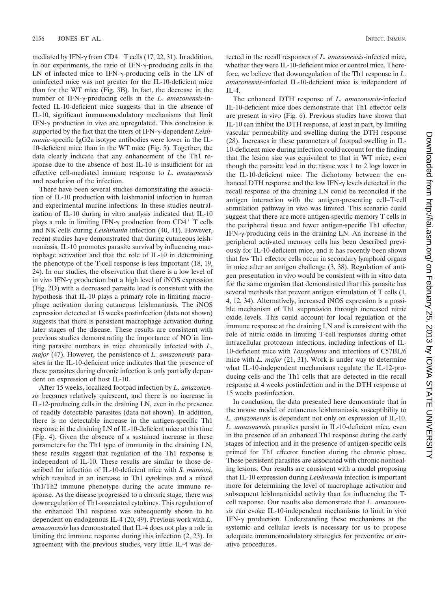mediated by IFN- $\gamma$  from CD4<sup>+</sup> T cells (17, 22, 31). In addition, in our experiments, the ratio of IFN- $\gamma$ -producing cells in the LN of infected mice to IFN- $\gamma$ -producing cells in the LN of uninfected mice was not greater for the IL-10-deficient mice than for the WT mice (Fig. 3B). In fact, the decrease in the number of IFN-γ-producing cells in the *L. amazonensis*-infected IL-10-deficient mice suggests that in the absence of IL-10, significant immunomodulatory mechanisms that limit IFN- $\gamma$  production in vivo are upregulated. This conclusion is supported by the fact that the titers of IFN- $\gamma$ -dependent *Leishmania*-specific IgG2a isotype antibodies were lower in the IL-10-deficient mice than in the WT mice (Fig. 5). Together, the data clearly indicate that any enhancement of the Th1 response due to the absence of host IL-10 is insufficient for an effective cell-mediated immune response to *L. amazonensis* and resolution of the infection.

There have been several studies demonstrating the association of IL-10 production with leishmanial infection in human and experimental murine infections. In these studies neutralization of IL-10 during in vitro analysis indicated that IL-10 plays a role in limiting IFN- $\gamma$  production from CD4<sup>+</sup> T cells and NK cells during *Leishmania* infection (40, 41). However, recent studies have demonstrated that during cutaneous leishmaniasis, IL-10 promotes parasite survival by influencing macrophage activation and that the role of IL-10 in determining the phenotype of the T-cell response is less important (18, 19, 24). In our studies, the observation that there is a low level of in vivo IFN- $\gamma$  production but a high level of iNOS expression (Fig. 2D) with a decreased parasite load is consistent with the hypothesis that IL-10 plays a primary role in limiting macrophage activation during cutaneous leishmaniasis. The iNOS expression detected at 15 weeks postinfection (data not shown) suggests that there is persistent macrophage activation during later stages of the disease. These results are consistent with previous studies demonstrating the importance of NO in limiting parasite numbers in mice chronically infected with *L. major* (47). However, the persistence of *L. amazonensis* parasites in the IL-10-deficient mice indicates that the presence of these parasites during chronic infection is only partially dependent on expression of host IL-10.

After 15 weeks, localized footpad infection by *L. amazonensis* becomes relatively quiescent, and there is no increase in IL-12-producing cells in the draining LN, even in the presence of readily detectable parasites (data not shown). In addition, there is no detectable increase in the antigen-specific Th1 response in the draining LN of IL-10-deficient mice at this time (Fig. 4). Given the absence of a sustained increase in these parameters for the Th1 type of immunity in the draining LN, these results suggest that regulation of the Th1 response is independent of IL-10. These results are similar to those described for infection of IL-10-deficient mice with *S. mansoni*, which resulted in an increase in Th1 cytokines and a mixed Th1/Th2 immune phenotype during the acute immune response. As the disease progressed to a chronic stage, there was downregulation of Th1-associated cytokines. This regulation of the enhanced Th1 response was subsequently shown to be dependent on endogenous IL-4 (20, 49). Previous work with *L. amazonensis* has demonstrated that IL-4 does not play a role in limiting the immune response during this infection (2, 23). In agreement with the previous studies, very little IL-4 was de-

tected in the recall responses of *L. amazonensis*-infected mice, whether they were IL-10-deficient mice or control mice. Therefore, we believe that downregulation of the Th1 response in *L. amazonensis*-infected IL-10-deficient mice is independent of  $II - 4$ 

The enhanced DTH response of *L. amazonensis*-infected IL-10-deficient mice does demonstrate that Th1 effector cells are present in vivo (Fig. 6). Previous studies have shown that IL-10 can inhibit the DTH response, at least in part, by limiting vascular permeability and swelling during the DTH response (28). Increases in these parameters of footpad swelling in IL-10-deficient mice during infection could account for the finding that the lesion size was equivalent to that in WT mice, even though the parasite load in the tissue was 1 to 2 logs lower in the IL-10-deficient mice. The dichotomy between the enhanced DTH response and the low IFN- $\gamma$  levels detected in the recall response of the draining LN could be reconciled if the antigen interaction with the antigen-presenting cell–T-cell stimulation pathway in vivo was limited. This scenario could suggest that there are more antigen-specific memory T cells in the peripheral tissue and fewer antigen-specific Th1 effector, IFN- $\gamma$ -producing cells in the draining LN. An increase in the peripheral activated memory cells has been described previously for IL-10-deficient mice, and it has recently been shown that few Th1 effector cells occur in secondary lymphoid organs in mice after an antigen challenge (3, 38). Regulation of antigen presentation in vivo would be consistent with in vitro data for the same organism that demonstrated that this parasite has several methods that prevent antigen stimulation of T cells (1, 4, 12, 34). Alternatively, increased iNOS expression is a possible mechanism of Th1 suppression through increased nitric oxide levels. This could account for local regulation of the immune response at the draining LN and is consistent with the role of nitric oxide in limiting T-cell responses during other intracellular protozoan infections, including infections of IL-10-deficient mice with *Toxoplasma* and infections of C57BL/6 mice with *L. major* (21, 31). Work is under way to determine what IL-10-independent mechanisms regulate the IL-12-producing cells and the Th1 cells that are detected in the recall response at 4 weeks postinfection and in the DTH response at 15 weeks postinfection.

In conclusion, the data presented here demonstrate that in the mouse model of cutaneous leishmaniasis, susceptibility to *L. amazonensis* is dependent not only on expression of IL-10. *L. amazonensis* parasites persist in IL-10-deficient mice, even in the presence of an enhanced Th1 response during the early stages of infection and in the presence of antigen-specific cells primed for Th1 effector function during the chronic phase. These persistent parasites are associated with chronic nonhealing lesions. Our results are consistent with a model proposing that IL-10 expression during *Leishmania* infection is important more for determining the level of macrophage activation and subsequent leishmanicidal activity than for influencing the Tcell response. Our results also demonstrate that *L. amazonensis* can evoke IL-10-independent mechanisms to limit in vivo IFN- $\gamma$  production. Understanding these mechanisms at the systemic and cellular levels is necessary for us to propose adequate immunomodulatory strategies for preventive or curative procedures.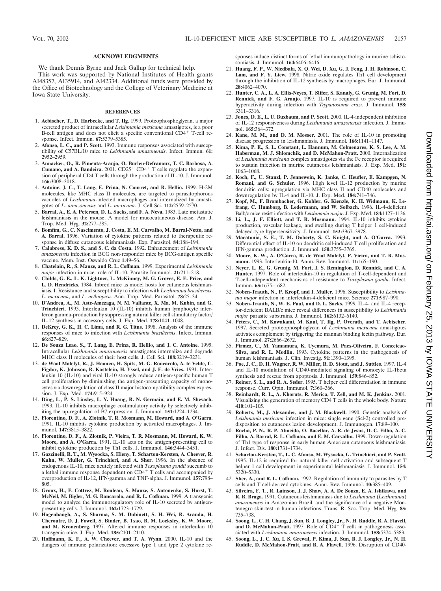#### **ACKNOWLEDGMENTS**

We thank Dennis Byrne and Jack Gallup for technical help.

This work was supported by National Institutes of Health grants AI48357, AI35914, and AI42334. Additional funds were provided by the Office of Biotechnology and the College of Veterinary Medicine at Iowa State University.

#### **REFERENCES**

- 1. **Aebischer, T., D. Harbecke, and T. Ilg.** 1999. Proteophosphoglycan, a major secreted product of intracellular *Leishmania mexicana* amastigotes, is a poor B-cell antigen and does not elicit a specific conventional  $CD4^+$  T-cell response. Infect. Immun. **67:**5379–5385.
- 2. **Afonso, L. C., and P. Scott.** 1993. Immune responses associated with susceptibility of C57BL/10 mice to *Leishmania amazonensis*. Infect. Immun. **61:** 2952–2959.
- 3. **Annacker, O., R. Pimenta-Araujo, O. Burlen-Defranoux, T. C. Barbosa, A. Cumano, and A. Bandeira.** 2001.  $CD25^+$   $CD4^+$  T cells regulate the expansion of peripheral CD4 T cells through the production of IL-10. J. Immunol. **166:**3008–3018.
- 4. **Antoine, J. C., T. Lang, E. Prina, N. Courret, and R. Hellio.** 1999. H-2M molecules, like MHC class II molecules, are targeted to parasitophorous vacuoles of *Leishmania*-infected macrophages and internalized by amastigotes of *L. amazonensis* and *L. mexicana*. J. Cell Sci. **112:**2559–2570.
- 5. **Barral, A., E. A. Petersen, D. L. Sacks, and F. A. Neva.** 1983. Late metastatic leishmaniasis in the mouse. A model for mucocutaneous disease. Am. J. Trop. Med. Hyg. **32:**277–285.
- 6. **Bomfim, G., C. Nascimento, J. Costa, E. M. Carvalho, M. Barral-Netto, and A. Barral.** 1996. Variation of cytokine patterns related to therapeutic response in diffuse cutaneous leishmaniasis. Exp. Parasitol. **84:**188–194.
- 7. **Calabrese, K. D. S., and S. C. da Costa.** 1992. Enhancement of *Leishmania amazonensis* infection in BCG non-responder mice by BCG-antigen specific vaccine. Mem. Inst. Oswaldo Cruz **1:**49–56.
- 8. **Chatelain, R., S. Mauze, and R. L. Coffman.** 1999. Experimental *Leishmania major* infection in mice: role of IL-10. Parasite Immunol. **21:**211–218.
- 9. **Childs, G. E., L. K. Lightner, L. McKinney, M. G. Groves, E. E. Price, and L. D. Hendricks.** 1984. Inbred mice as model hosts for cutaneous leishmaniasis. I. Resistance and susceptibility to infection with *Leishmania braziliensis*. *L. mexicana*, and *L. aethiopica*. Ann. Trop. Med. Parasitol. **78:**25–34.
- 10. **D'Andrea, A., M. Aste-Amezaga, N. M. Valiante, X. Ma, M. Kubin, and G. Trinchieri.** 1993. Interleukin 10 (IL-10) inhibits human lymphocyte interferon gamma-production by suppressing natural killer cell stimulatory factor/ IL-12 synthesis in accessory cells. J. Exp. Med. **178:**1041–1048.
- 11. **DeKrey, G. K., H. C. Lima, and R. G. Titus.** 1998. Analysis of the immune responses of mice to infection with *Leishmania braziliensis*. Infect. Immun. **66:**827–829.
- 12. **De Souza Leao, S., T. Lang, E. Prina, R. Hellio, and J. C. Antoine.** 1995. Intracellular *Leishmania amazonensis* amastigotes internalize and degrade MHC class II molecules of their host cells. J. Cell Sci. **108:**3219–3231.
- 13. **de Waal Malefyt, R., J. Haanen, H. Spits, M. G. Roncarolo, A. te Velde, C. Figdor, K. Johnson, R. Kastelein, H. Yssel, and J. E. de Vries.** 1991. Interleukin 10 (IL-10) and viral IL-10 strongly reduce antigen-specific human T cell proliferation by diminishing the antigen-presenting capacity of monocytes via downregulation of class II major histocompatibility complex expression. J. Exp. Med. **174:**915–924.
- 14. **Ding, L., P. S. Linsley, L. Y. Huang, R. N. Germain, and E. M. Shevach.** 1993. IL-10 inhibits macrophage costimulatory activity by selectively inhibiting the up-regulation of B7 expression. J. Immunol. **151:**1224–1234.
- 15. **Fiorentino, D. F., A. Zlotnik, T. R. Mosmann, M. Howard, and A. O'Garra.** 1991. IL-10 inhibits cytokine production by activated macrophages. J. Immunol. **147:**3815–3822.
- 16. **Fiorentino, D. F., A. Zlotnik, P. Vieira, T. R. Mosmann, M. Howard, K. W. Moore, and A. O'Garra.** 1991. IL-10 acts on the antigen-presenting cell to inhibit cytokine production by Th1 cells. J. Immunol. **146:**3444–3451.
- 17. **Gazzinelli, R. T., M. Wysocka, S. Hieny, T. Scharton-Kersten, A. Cheever, R. Kuhn, W. Muller, G. Trinchieri, and A. Sher.** 1996. In the absence of endogenous IL-10, mice acutely infected with *Toxoplasma gondii* succumb to a lethal immune response dependent on  $CD4^+$  T cells and accompanied by overproduction of IL-12, IFN-gamma and TNF-alpha. J. Immunol. **157:**798– 805.
- 18. **Groux, H., F. Cottrez, M. Rouleau, S. Mauze, S. Antonenko, S. Hurst, T. McNeil, M. Bigler, M. G. Roncarolo, and R. L. Coffman.** 1999. A transgenic model to analyze the immunoregulatory role of IL-10 secreted by antigenpresenting cells. J. Immunol. **162:**1723–1729.
- 19. **Hagenbaugh, A., S. Sharma, S. M. Dubinett, S. H. Wei, R. Aranda, H. Cheroutre, D. J. Fowell, S. Binder, B. Tsao, R. M. Locksley, K. W. Moore, and M. Kronenberg.** 1997. Altered immune responses in interleukin 10 transgenic mice. J. Exp. Med. **185:**2101–2110.
- 20. **Hoffmann, K. F., A. W. Cheever, and T. A. Wynn.** 2000. IL-10 and the dangers of immune polarization: excessive type 1 and type 2 cytokine re-

sponses induce distinct forms of lethal immunopathology in murine schistosomiasis. J. Immunol. **164:**6406–6416.

- 21. **Huang, F. P., W. Niedbala, X. Q. Wei, D. Xu, G. J. Feng, J. H. Robinson, C. Lam, and F. Y. Liew.** 1998. Nitric oxide regulates Th1 cell development through the inhibition of IL-12 synthesis by macrophages. Eur. J. Immunol. **28:**4062–4070.
- 22. **Hunter, C. A., L. A. Ellis-Neyes, T. Slifer, S. Kanaly, G. Grunig, M. Fort, D. Rennick, and F. G. Araujo.** 1997. IL-10 is required to prevent immune hyperactivity during infection with *Trypanosoma cruzi*. J. Immunol. **158:** 3311–3316.
- 23. **Jones, D. E., L. U. Buxbaum, and P. Scott.** 2000. IL-4-independent inhibition of IL-12 responsiveness during *Leishmania amazonensis* infection. J. Immu-nol. **165:**364–372.
- 24. **Kane, M. M., and D. M. Mosser.** 2001. The role of IL-10 in promoting disease progression in leishmaniasis. J. Immunol. **166:**1141–1147.
- 25. **Kima, P. E., S. L. Constant, L. Hannum, M. Colmenares, K. S. Lee, A. M. Haberman, M. J. Shlomchik, and D. McMahon-Pratt.** 2000. Internalization of *Leishmania mexicana* complex amastigotes via the Fc receptor is required to sustain infection in murine cutaneous leishmaniasis. J. Exp. Med. **191:** 1063–1068.
- 26. **Koch, F., U. Stanzl, P. Jennewein, K. Janke, C. Heufler, E. Kampgen, N. Romani, and G. Schuler.** 1996. High level IL-12 production by murine dendritic cells: upregulation via MHC class II and CD40 molecules and downregulation by IL-4 and IL-10. J. Exp. Med. **184:**741–746.
- 27. **Kopf, M., F. Brombacher, G. Kohler, G. Kienzle, K. H. Widmann, K. Lefrang, C. Humborg, B. Ledermann, and W. Solbach.** 1996. IL-4-deficient Balb/c mice resist infection with *Leishmania major*. J. Exp. Med. **184:**1127–1136.
- 28. **Li, L., J. F. Elliott, and T. R. Mosmann.** 1994. IL-10 inhibits cytokine production, vascular leakage, and swelling during T helper 1 cell-induced delayed-type hypersensitivity. J. Immunol. **153:**3967–3978.
- 29. **Macatonia, S. E., T. M. Doherty, S. C. Knight, and A. O'Garra.** 1993. Differential effect of IL-10 on dendritic cell-induced T cell proliferation and IFN-gamma production. J. Immunol. **150:**3755–3765.
- 30. **Moore, K. W., A. O'Garra, R. de Waal Malefyt, P. Vieira, and T. R. Mosmann.** 1993. Interleukin-10. Annu. Rev. Immunol. **11:**165–190.
- 31. **Neyer, L. E., G. Grunig, M. Fort, J. S. Remington, D. Rennick, and C. A. Hunter.** 1997. Role of interleukin-10 in regulation of T-cell-dependent and T-cell-independent mechanisms of resistance to *Toxoplasma gondii*. Infect. Immun. **65:**1675–1682.
- 32. **Noben-Trauth, N., P. Kropf, and I. Muller.** 1996. Susceptibility to *Leishmania major* infection in interleukin-4-deficient mice. Science **271:**987–990.
- 33. **Noben-Trauth, N., W. E. Paul, and D. L. Sacks.** 1999. IL-4- and IL-4 receptor-deficient BALB/c mice reveal differences in susceptibility to *Leishmania major* parasite substrains. J. Immunol. **162:**6132–6140.
- 34. **Peters, C., M. Kawakami, M. Kaul, T. Ilg, P. Overath, and T. Aebischer.** 1997. Secreted proteophosphoglycan of *Leishmania mexicana* amastigotes activates complement by triggering the mannan binding lectin pathway. Eur. J. Immunol. **27:**2666–2672.
- 35. **Pirmez, C., M. Yamamura, K. Uyemura, M. Paes-Oliveira, F. Conceicao-Silva, and R. L. Modlin.** 1993. Cytokine patterns in the pathogenesis of human leishmaniasis. J. Clin. Investig. **91:**1390–1395.
- 36. **Poe, J. C., D. H. Wagner, R. W. Miller, R. D. Stout, and J. Suttles.** 1997. IL-4 and IL-10 modulation of CD40-mediated signaling of monocyte IL-1beta synthesis and rescue from apoptosis. J. Immunol. **159:**846–852.
- 37. **Reiner, S. L., and R. A. Seder.** 1995. T helper cell differentiation in immune response. Curr. Opin. Immunol. **7:**360–366.
- 38. **Reinhardt, R. L., A. Khoruts, R. Merica, T. Zell, and M. K. Jenkins.** 2001. Visualizing the generation of memory CD4 T cells in the whole body. Nature **410:**101–105.
- 39. **Roberts, M., J. Alexander, and J. M. Blackwell.** 1990. Genetic analysis of *Leishmania mexicana* infection in mice: single gene (Scl-2) controlled predisposition to cutaneous lesion development. J. Immunogen. **17:**89–100.
- 40. **Rocha, P. N., R. P. Almeida, O. Bacellar, A. R. de Jesus, D. C. Filho, A. C. Filho, A. Barral, R. L. Coffman, and E. M. Carvalho.** 1999. Down-regulation of Th1 type of response in early human American cutaneous leishmaniasis. J. Infect. Dis. **180:**1731–1734.
- 41. **Scharton-Kersten, T., L. C. Afonso, M. Wysocka, G. Trinchieri, and P. Scott.** 1995. IL-12 is required for natural killer cell activation and subsequent T helper 1 cell development in experimental leishmaniasis. J. Immunol. **154:** 5320–5330.
- 42. **Sher, A., and R. L. Coffman.** 1992. Regulation of immunity to parasites by T cells and T cell-derived cytokines. Annu. Rev. Immunol. **10:**385–409.
- 43. **Silveira, F. T., R. Lainson, J. J. Shaw, A. A. De Souza, E. A. Ishikawa, and R. R. Braga.** 1991. Cutaneous leishmaniasis due to *Leishmania* (*Leishmania*) *amazonensis* in Amazonian Brazil, and the significance of a negative Montenegro skin-test in human infections. Trans. R. Soc. Trop. Med. Hyg. **85:** 735–738.
- 44. **Soong, L., C. H. Chang, J. Sun, B. J. Longley, Jr., N. H. Ruddle, R. A. Flavell,** and **D. McMahon-Pratt.** 1997. Role of CD4<sup>+</sup> T cells in pathogenesis associated with *Leishmania amazonensis* infection. J. Immunol. **158:**5374–5383.
- 45. **Soong, L., J. C. Xu, I. S. Grewal, P. Kima, J. Sun, B. J. Longley, Jr., N. H. Ruddle, D. McMahon-Pratt, and R. A. Flavell.** 1996. Disruption of CD40-